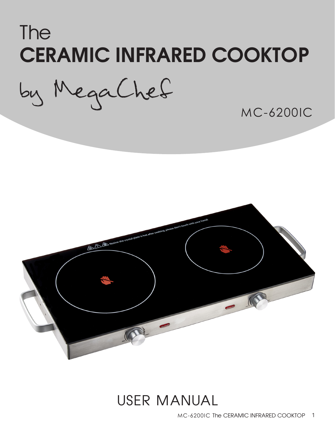# The CERAMIC INFRARED COOKTOP

by MegaChef

MC-6200IC



## USER MANUAL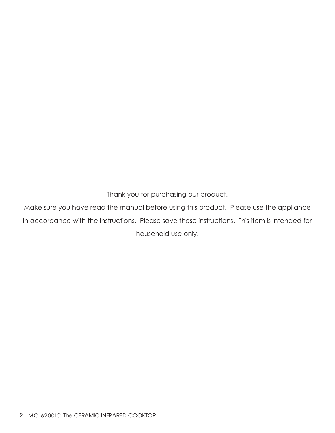Thank you for purchasing our product!

Make sure you have read the manual before using this product. Please use the appliance in accordance with the instructions. Please save these instructions. This item is intended for household use only.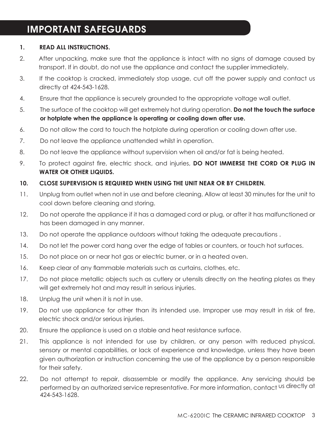#### IMPORTANT SAFEGUARDS

#### **1. READ ALL INSTRUCTIONS.**

- 2. After unpacking, make sure that the appliance is intact with no signs of damage caused by transport. If in doubt, do not use the appliance and contact the supplier immediately.
- 3. If the cooktop is cracked, immediately stop usage, cut off the power supply and contact us directly at 424-543-1628.
- 4. Ensure that the appliance is securely grounded to the appropriate voltage wall outlet.
- 5. The surface of the cooktop will get extremely hot during operation. **Do not the touch the surface or hotplate when the appliance is operating or cooling down after use.**
- 6. Do not allow the cord to touch the hotplate during operation or cooling down after use.
- 7. Do not leave the appliance unattended whilst in operation.
- 8. Do not leave the appliance without supervision when oil and/or fat is being heated.
- 9. To protect against fire, electric shock, and injuries, **DO NOT IMMERSE THE CORD OR PLUG IN WATER OR OTHER LIQUIDS.**

#### **10. CLOSE SUPERVISION IS REQUIRED WHEN USING THE UNIT NEAR OR BY CHILDREN.**

- 11. Unplug from outlet when not in use and before cleaning. Allow at least 30 minutes for the unit to cool down before cleaning and storing.
- 12. Do not operate the appliance if it has a damaged cord or plug, or after it has malfunctioned or has been damaged in any manner.
- 13. Do not operate the appliance outdoors without taking the adequate precautions.
- 14. Do not let the power cord hang over the edge of tables or counters, or touch hot surfaces.
- 15. Do not place on or near hot gas or electric burner, or in a heated oven.
- 16. Keep clear of any flammable materials such as curtains, clothes, etc.
- 17. Do not place metallic objects such as cutlery or utensils directly on the heating plates as they will get extremely hot and may result in serious injuries.
- 18. Unplug the unit when it is not in use.
- 19. Do not use appliance for other than its intended use. Improper use may result in risk of fire, electric shock and/or serious injuries.
- 20. Ensure the appliance is used on a stable and heat resistance surface.
- 21. This appliance is not intended for use by children, or any person with reduced physical, sensory or mental capabilities, or lack of experience and knowledge, unless they have been given authorization or instruction concerning the use of the appliance by a person responsible for their safety.
- 22. Do not attempt to repair, disassemble or modify the appliance. Any servicing should be performed by an authorized service representative. For more information, contact us directly at 424-543-1628.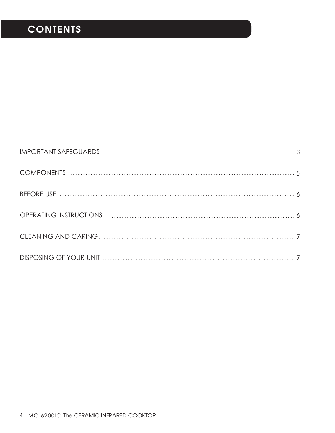## **CONTENTS**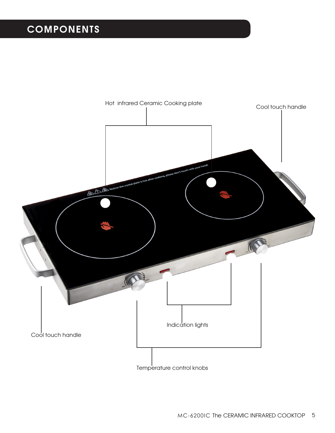### **COMPONENTS**

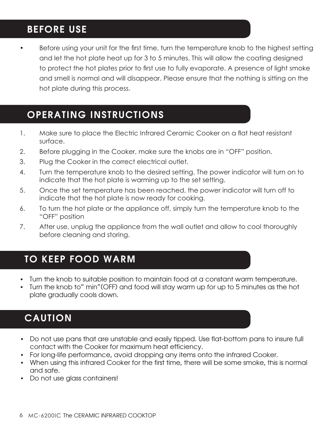#### BEFORE USE

Before using your unit for the first time, turn the temperature knob to the highest setting and let the hot plate heat up for 3 to 5 minutes. This will allow the coating designed to protect the hot plates prior to first use to fully evaporate. A presence of light smoke and smell is normal and will disappear. Please ensure that the nothing is sitting on the hot plate during this process.

#### OPERATING INSTRUCTIONS

- 1. Make sure to place the Electric Infrared Ceramic Cooker on a flat heat resistant surface.
- 2. Before plugging in the Cooker, make sure the knobs are in "OFF" position.
- 3. Plug the Cooker in the correct electrical outlet.
- 4. Turn the temperature knob to the desired setting. The power indicator will turn on to indicate that the hot plate is warming up to the set setting.
- 5. Once the set temperature has been reached, the power indicator will turn off to indicate that the hot plate is now ready for cooking.
- 6. To turn the hot plate or the appliance off, simply turn the temperature knob to the "OFF" position
- 7. After use, unplug the appliance from the wall outlet and allow to cool thoroughly before cleaning and storing.

#### TO KEEP FOOD WARM

- Turn the knob to suitable position to maintain food at a constant warm temperature.
- Turn the knob to" min"(OFF) and food will stay warm up for up to 5 minutes as the hot plate gradually cools down.

#### CAUTION

- Do not use pans that are unstable and easily tipped. Use flat-bottom pans to insure full contact with the Cooker for maximum heat efficiency.
- For long-life performance, avoid dropping any items onto the infrared Cooker.
- When using this infrared Cooker for the first time, there will be some smoke, this is normal and safe.
- Do not use glass containers!